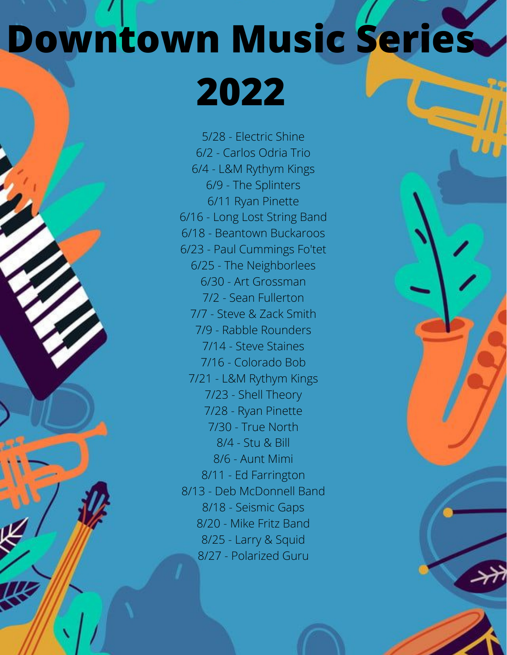## **Downtown Music Series**

**2022**

5/28 - Electric Shine 6/2 - Carlos Odria Trio 6/4 - L&M Rythym Kings 6/9 - The Splinters 6/11 Ryan Pinette 6/16 - Long Lost String Band 6/18 - Beantown Buckaroos 6/23 - Paul Cummings Fo'tet 6/25 - The Neighborlees 6/30 - Art Grossman 7/2 - Sean Fullerton 7/7 - Steve & Zack Smith 7/9 - Rabble Rounders 7/14 - Steve Staines 7/16 - Colorado Bob 7/21 - L&M Rythym Kings 7/23 - Shell Theory 7/28 - Ryan Pinette 7/30 - True North 8/4 - Stu & Bill 8/6 - Aunt Mimi 8/11 - Ed Farrington 8/13 - Deb McDonnell Band 8/18 - Seismic Gaps 8/20 - Mike Fritz Band 8/25 - Larry & Squid 8/27 - Polarized Guru